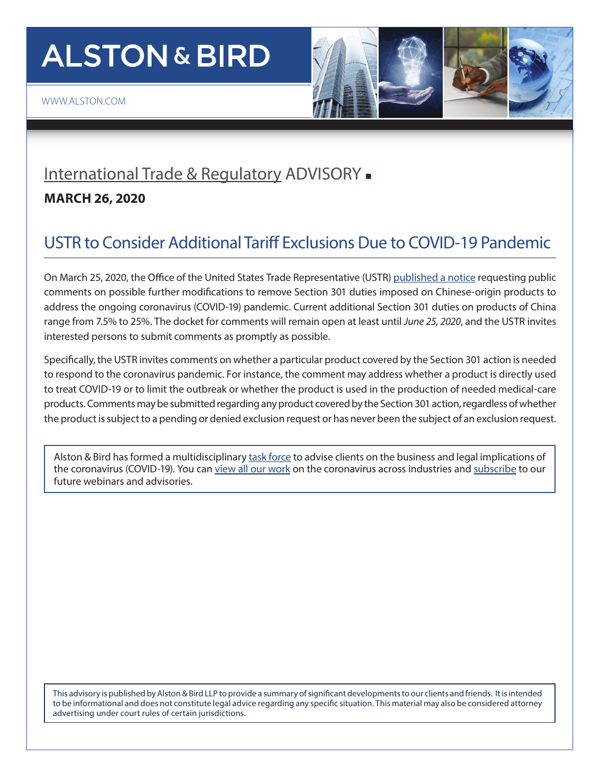# **ALSTON & BIRD**



#### [International Trade & Regulatory](http://www.alston.com/services/litigation/international-trade/) ADVISORY -

#### **MARCH 26, 2020**

### USTR to Consider Additional Tariff Exclusions Due to COVID-19 Pandemic

On March 25, 2020, the Office of the United States Trade Representative (USTR) [published a notice](https://www.federalregister.gov/documents/2020/03/25/2020-06285/request-for-comments-on-additional-modifications-to-the-301-action-to-address-covid-19-chinas-acts) requesting public comments on possible further modifications to remove Section 301 duties imposed on Chinese-origin products to address the ongoing coronavirus (COVID-19) pandemic. Current additional Section 301 duties on products of China range from 7.5% to 25%. The docket for comments will remain open at least until *June 25, 2020*, and the USTR invites interested persons to submit comments as promptly as possible.

Specifically, the USTR invites comments on whether a particular product covered by the Section 301 action is needed to respond to the coronavirus pandemic. For instance, the comment may address whether a product is directly used to treat COVID-19 or to limit the outbreak or whether the product is used in the production of needed medical-care products. Comments may be submitted regarding any product covered by the Section 301 action, regardless of whether the product is subject to a pending or denied exclusion request or has never been the subject of an exclusion request.

Alston & Bird has formed a multidisciplinary [task force](https://www.alston.com/en/resources/coronavirus/overview) to advise clients on the business and legal implications of the coronavirus (COVID-19). You can [view all our work](https://www.alston.com/en/insights/?keyword=Coronavirus&reload=false&scroll=499.7685546875) on the coronavirus across industries and [subscribe](https://www.alston.com/en/resources/subscriptions-form) to our future webinars and advisories.

This advisory is published by Alston & Bird LLP to provide a summary of significant developments to our clients and friends. It is intended to be informational and does not constitute legal advice regarding any specific situation. This material may also be considered attorney advertising under court rules of certain jurisdictions.